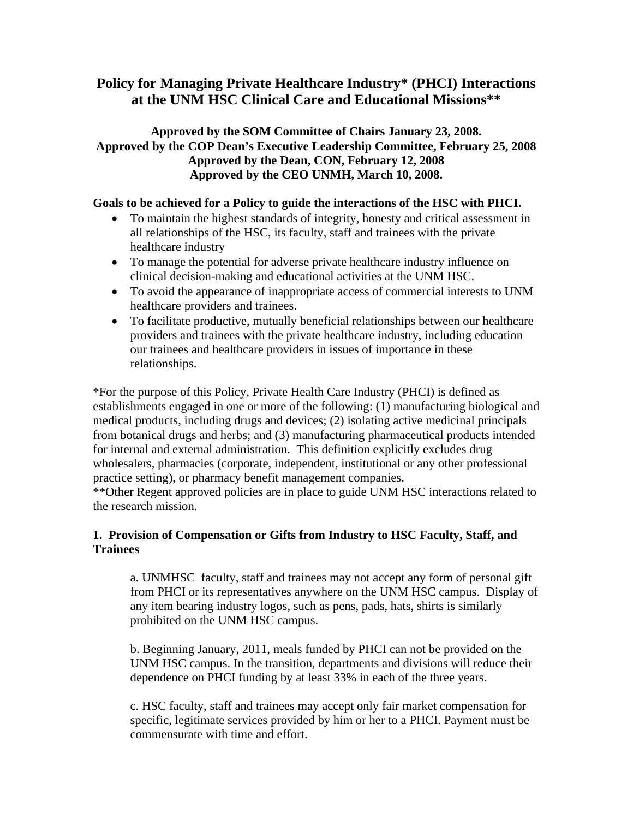# **Policy for Managing Private Healthcare Industry\* (PHCI) Interactions at the UNM HSC Clinical Care and Educational Missions\*\***

## **Approved by the SOM Committee of Chairs January 23, 2008. Approved by the COP Dean's Executive Leadership Committee, February 25, 2008 Approved by the Dean, CON, February 12, 2008 Approved by the CEO UNMH, March 10, 2008.**

## **Goals to be achieved for a Policy to guide the interactions of the HSC with PHCI.**

- To maintain the highest standards of integrity, honesty and critical assessment in all relationships of the HSC, its faculty, staff and trainees with the private healthcare industry
- To manage the potential for adverse private healthcare industry influence on clinical decision-making and educational activities at the UNM HSC.
- To avoid the appearance of inappropriate access of commercial interests to UNM healthcare providers and trainees.
- To facilitate productive, mutually beneficial relationships between our healthcare providers and trainees with the private healthcare industry, including education our trainees and healthcare providers in issues of importance in these relationships.

\*For the purpose of this Policy, Private Health Care Industry (PHCI) is defined as establishments engaged in one or more of the following: (1) manufacturing biological and medical products, including drugs and devices; (2) isolating active medicinal principals from botanical drugs and herbs; and (3) manufacturing pharmaceutical products intended for internal and external administration. This definition explicitly excludes drug wholesalers, pharmacies (corporate, independent, institutional or any other professional practice setting), or pharmacy benefit management companies.

\*\*Other Regent approved policies are in place to guide UNM HSC interactions related to the research mission.

## **1. Provision of Compensation or Gifts from Industry to HSC Faculty, Staff, and Trainees**

a. UNMHSC faculty, staff and trainees may not accept any form of personal gift from PHCI or its representatives anywhere on the UNM HSC campus. Display of any item bearing industry logos, such as pens, pads, hats, shirts is similarly prohibited on the UNM HSC campus.

b. Beginning January, 2011, meals funded by PHCI can not be provided on the UNM HSC campus. In the transition, departments and divisions will reduce their dependence on PHCI funding by at least 33% in each of the three years.

c. HSC faculty, staff and trainees may accept only fair market compensation for specific, legitimate services provided by him or her to a PHCI. Payment must be commensurate with time and effort.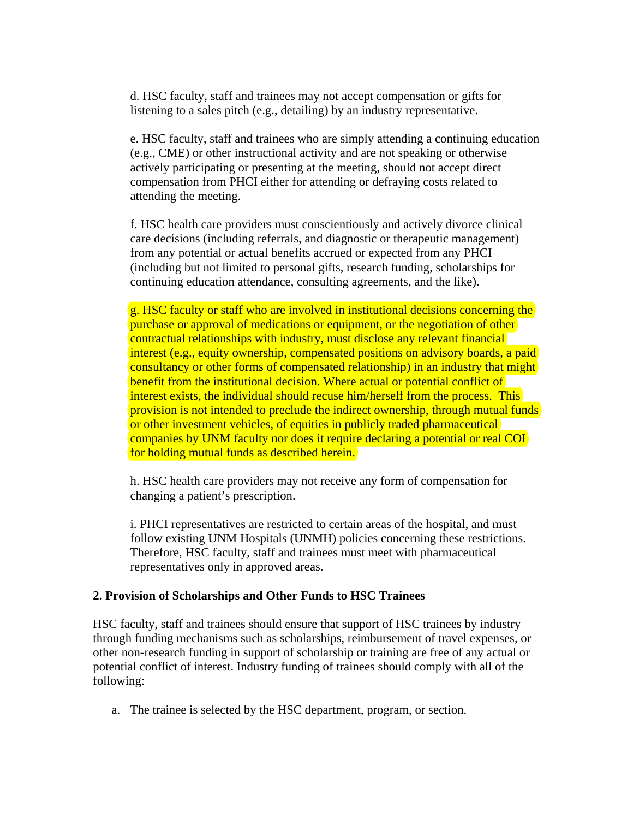d. HSC faculty, staff and trainees may not accept compensation or gifts for listening to a sales pitch (e.g., detailing) by an industry representative.

e. HSC faculty, staff and trainees who are simply attending a continuing education (e.g., CME) or other instructional activity and are not speaking or otherwise actively participating or presenting at the meeting, should not accept direct compensation from PHCI either for attending or defraying costs related to attending the meeting.

f. HSC health care providers must conscientiously and actively divorce clinical care decisions (including referrals, and diagnostic or therapeutic management) from any potential or actual benefits accrued or expected from any PHCI (including but not limited to personal gifts, research funding, scholarships for continuing education attendance, consulting agreements, and the like).

g. HSC faculty or staff who are involved in institutional decisions concerning the purchase or approval of medications or equipment, or the negotiation of other contractual relationships with industry, must disclose any relevant financial interest (e.g., equity ownership, compensated positions on advisory boards, a paid consultancy or other forms of compensated relationship) in an industry that might benefit from the institutional decision. Where actual or potential conflict of interest exists, the individual should recuse him/herself from the process. This provision is not intended to preclude the indirect ownership, through mutual funds or other investment vehicles, of equities in publicly traded pharmaceutical companies by UNM faculty nor does it require declaring a potential or real COI for holding mutual funds as described herein.

h. HSC health care providers may not receive any form of compensation for changing a patient's prescription.

i. PHCI representatives are restricted to certain areas of the hospital, and must follow existing UNM Hospitals (UNMH) policies concerning these restrictions. Therefore, HSC faculty, staff and trainees must meet with pharmaceutical representatives only in approved areas.

#### **2. Provision of Scholarships and Other Funds to HSC Trainees**

HSC faculty, staff and trainees should ensure that support of HSC trainees by industry through funding mechanisms such as scholarships, reimbursement of travel expenses, or other non-research funding in support of scholarship or training are free of any actual or potential conflict of interest. Industry funding of trainees should comply with all of the following:

a. The trainee is selected by the HSC department, program, or section.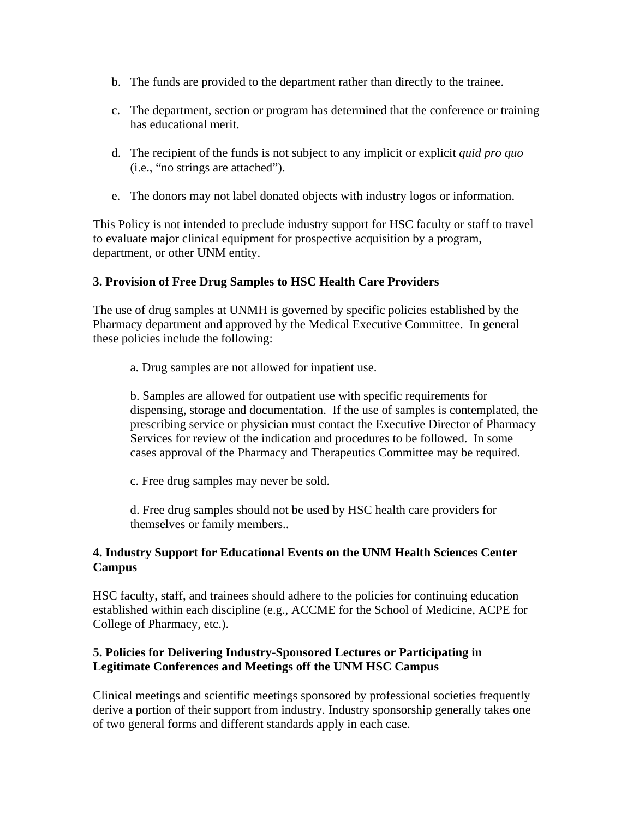- b. The funds are provided to the department rather than directly to the trainee.
- c. The department, section or program has determined that the conference or training has educational merit.
- d. The recipient of the funds is not subject to any implicit or explicit *quid pro quo*  (i.e., "no strings are attached").
- e. The donors may not label donated objects with industry logos or information.

This Policy is not intended to preclude industry support for HSC faculty or staff to travel to evaluate major clinical equipment for prospective acquisition by a program, department, or other UNM entity.

## **3. Provision of Free Drug Samples to HSC Health Care Providers**

The use of drug samples at UNMH is governed by specific policies established by the Pharmacy department and approved by the Medical Executive Committee. In general these policies include the following:

a. Drug samples are not allowed for inpatient use.

b. Samples are allowed for outpatient use with specific requirements for dispensing, storage and documentation. If the use of samples is contemplated, the prescribing service or physician must contact the Executive Director of Pharmacy Services for review of the indication and procedures to be followed. In some cases approval of the Pharmacy and Therapeutics Committee may be required.

c. Free drug samples may never be sold.

d. Free drug samples should not be used by HSC health care providers for themselves or family members..

#### **4. Industry Support for Educational Events on the UNM Health Sciences Center Campus**

HSC faculty, staff, and trainees should adhere to the policies for continuing education established within each discipline (e.g., ACCME for the School of Medicine, ACPE for College of Pharmacy, etc.).

#### **5. Policies for Delivering Industry-Sponsored Lectures or Participating in Legitimate Conferences and Meetings off the UNM HSC Campus**

Clinical meetings and scientific meetings sponsored by professional societies frequently derive a portion of their support from industry. Industry sponsorship generally takes one of two general forms and different standards apply in each case.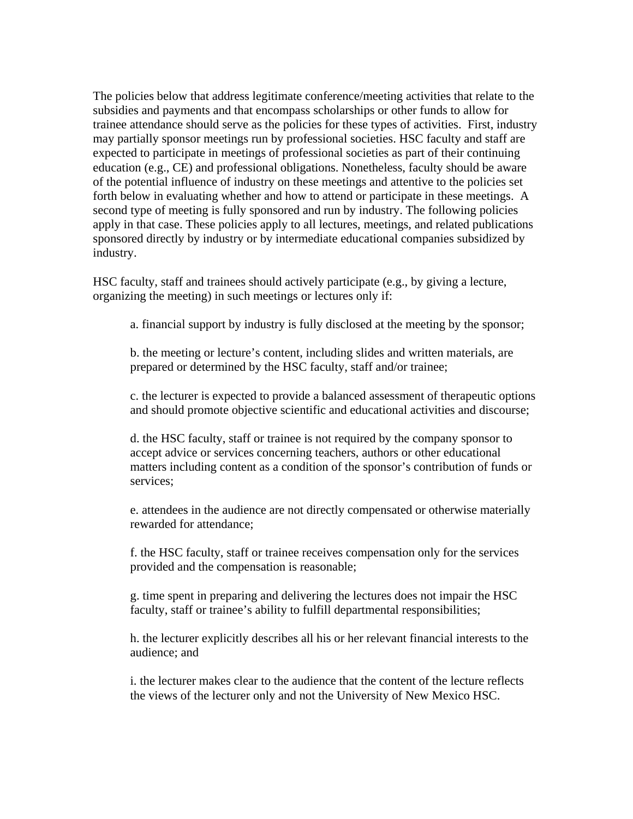The policies below that address legitimate conference/meeting activities that relate to the subsidies and payments and that encompass scholarships or other funds to allow for trainee attendance should serve as the policies for these types of activities. First, industry may partially sponsor meetings run by professional societies. HSC faculty and staff are expected to participate in meetings of professional societies as part of their continuing education (e.g., CE) and professional obligations. Nonetheless, faculty should be aware of the potential influence of industry on these meetings and attentive to the policies set forth below in evaluating whether and how to attend or participate in these meetings. A second type of meeting is fully sponsored and run by industry. The following policies apply in that case. These policies apply to all lectures, meetings, and related publications sponsored directly by industry or by intermediate educational companies subsidized by industry.

HSC faculty, staff and trainees should actively participate (e.g., by giving a lecture, organizing the meeting) in such meetings or lectures only if:

a. financial support by industry is fully disclosed at the meeting by the sponsor;

b. the meeting or lecture's content, including slides and written materials, are prepared or determined by the HSC faculty, staff and/or trainee;

c. the lecturer is expected to provide a balanced assessment of therapeutic options and should promote objective scientific and educational activities and discourse;

d. the HSC faculty, staff or trainee is not required by the company sponsor to accept advice or services concerning teachers, authors or other educational matters including content as a condition of the sponsor's contribution of funds or services;

e. attendees in the audience are not directly compensated or otherwise materially rewarded for attendance;

f. the HSC faculty, staff or trainee receives compensation only for the services provided and the compensation is reasonable;

g. time spent in preparing and delivering the lectures does not impair the HSC faculty, staff or trainee's ability to fulfill departmental responsibilities;

h. the lecturer explicitly describes all his or her relevant financial interests to the audience; and

i. the lecturer makes clear to the audience that the content of the lecture reflects the views of the lecturer only and not the University of New Mexico HSC.